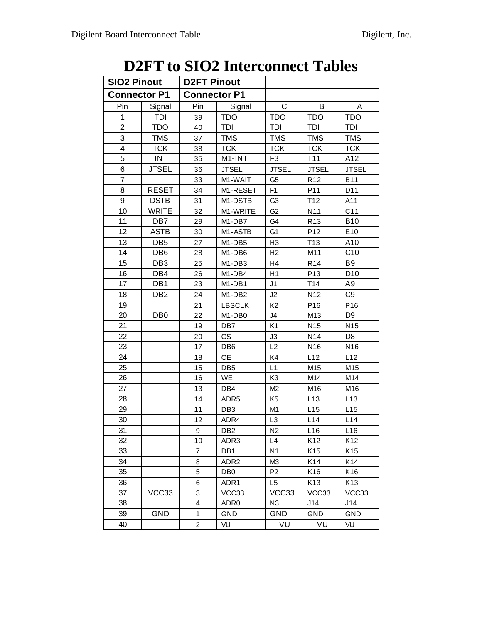## **D2FT to SIO2 Interconnect Tables**

| <b>SIO2 Pinout</b>  |                 | <b>D2FT Pinout</b>  |                                 |                |                 |                 |
|---------------------|-----------------|---------------------|---------------------------------|----------------|-----------------|-----------------|
| <b>Connector P1</b> |                 | <b>Connector P1</b> |                                 |                |                 |                 |
| Pin                 | Signal          | Pin                 | Signal                          | $\mathsf C$    | В               | Α               |
| 1                   | TDI             | 39                  | <b>TDO</b>                      | <b>TDO</b>     | <b>TDO</b>      | <b>TDO</b>      |
| $\overline{2}$      | <b>TDO</b>      | 40                  | TDI                             | TDI            | TDI             | TDI             |
| 3                   | <b>TMS</b>      | 37                  | <b>TMS</b>                      | <b>TMS</b>     | <b>TMS</b>      | <b>TMS</b>      |
| 4                   | <b>TCK</b>      | 38                  | <b>TCK</b>                      | <b>TCK</b>     | <b>TCK</b>      | <b>TCK</b>      |
| 5                   | <b>INT</b>      | 35                  | M1-INT                          | F <sub>3</sub> | T11             | A12             |
| 6                   | <b>JTSEL</b>    | 36                  | <b>JTSEL</b>                    | <b>JTSEL</b>   | <b>JTSEL</b>    | <b>JTSEL</b>    |
| 7                   |                 | 33                  | M1-WAIT                         | G <sub>5</sub> | R <sub>12</sub> | <b>B11</b>      |
| 8                   | <b>RESET</b>    | 34                  | M1-RESET                        | F <sub>1</sub> | P <sub>11</sub> | D <sub>11</sub> |
| 9                   | <b>DSTB</b>     | 31                  | M1-DSTB                         | G <sub>3</sub> | T <sub>12</sub> | A11             |
| 10                  | <b>WRITE</b>    | 32                  | M1-WRITE                        | G <sub>2</sub> | N11             | C <sub>11</sub> |
| 11                  | DB7             | 29                  | M <sub>1</sub> -DB <sub>7</sub> | G4             | R <sub>13</sub> | <b>B10</b>      |
| 12                  | <b>ASTB</b>     | 30                  | M1-ASTB                         | G <sub>1</sub> | P <sub>12</sub> | E10             |
| 13                  | DB <sub>5</sub> | 27                  | M <sub>1</sub> -DB <sub>5</sub> | H <sub>3</sub> | T <sub>13</sub> | A10             |
| 14                  | DB <sub>6</sub> | 28                  | M1-DB6                          | H <sub>2</sub> | M11             | C10             |
| 15                  | DB <sub>3</sub> | 25                  | M1-DB3                          | H <sub>4</sub> | R <sub>14</sub> | B <sub>9</sub>  |
| 16                  | DB4             | 26                  | M1-DB4                          | H1             | P <sub>13</sub> | D <sub>10</sub> |
| 17                  | DB1             | 23                  | M1-DB1                          | J <sub>1</sub> | T14             | A <sub>9</sub>  |
| 18                  | DB <sub>2</sub> | 24                  | M1-DB2                          | J2             | N <sub>12</sub> | C <sub>9</sub>  |
| 19                  |                 | 21                  | <b>LBSCLK</b>                   | K <sub>2</sub> | P16             | P <sub>16</sub> |
| 20                  | DB <sub>0</sub> | 22                  | M1-DB0                          | J4             | M13             | D <sub>9</sub>  |
| 21                  |                 | 19                  | DB7                             | K <sub>1</sub> | N <sub>15</sub> | N <sub>15</sub> |
| 22                  |                 | 20                  | <b>CS</b>                       | J3             | N14             | D <sub>8</sub>  |
| 23                  |                 | 17                  | DB <sub>6</sub>                 | L2             | N <sub>16</sub> | N16             |
| 24                  |                 | 18                  | <b>OE</b>                       | K4             | L12             | L12             |
| 25                  |                 | 15                  | DB <sub>5</sub>                 | L1             | M15             | M15             |
| 26                  |                 | 16                  | WE                              | K <sub>3</sub> | M14             | M14             |
| 27                  |                 | 13                  | DB4                             | M <sub>2</sub> | M16             | M16             |
| 28                  |                 | 14                  | ADR <sub>5</sub>                | K <sub>5</sub> | L13             | L13             |
| 29                  |                 | 11                  | DB <sub>3</sub>                 | M <sub>1</sub> | L15             | L15             |
| 30                  |                 | 12                  | ADR4                            | L <sub>3</sub> | L14             | L14             |
| 31                  |                 | 9                   | DB <sub>2</sub>                 | N <sub>2</sub> | L <sub>16</sub> | L16             |
| 32                  |                 | 10                  | ADR3                            | L4             | K <sub>12</sub> | K12             |
| 33                  |                 | 7                   | DB1                             | N <sub>1</sub> | K15             | K <sub>15</sub> |
| 34                  |                 | 8                   | ADR <sub>2</sub>                | M3             | K14             | K14             |
| 35                  |                 | 5                   | DB0                             | P <sub>2</sub> | K <sub>16</sub> | K <sub>16</sub> |
| 36                  |                 | 6                   | ADR1                            | L5             | K <sub>13</sub> | K13             |
| 37                  | VCC33           | 3                   | VCC33                           | VCC33          | VCC33           | VCC33           |
| 38                  |                 | 4                   | ADR <sub>0</sub>                | N <sub>3</sub> | J14             | J14             |
| 39                  | GND             | 1                   | <b>GND</b>                      | GND            | GND             | <b>GND</b>      |
| 40                  |                 | $\overline{c}$      | VU                              | VU             | VU              | VU              |